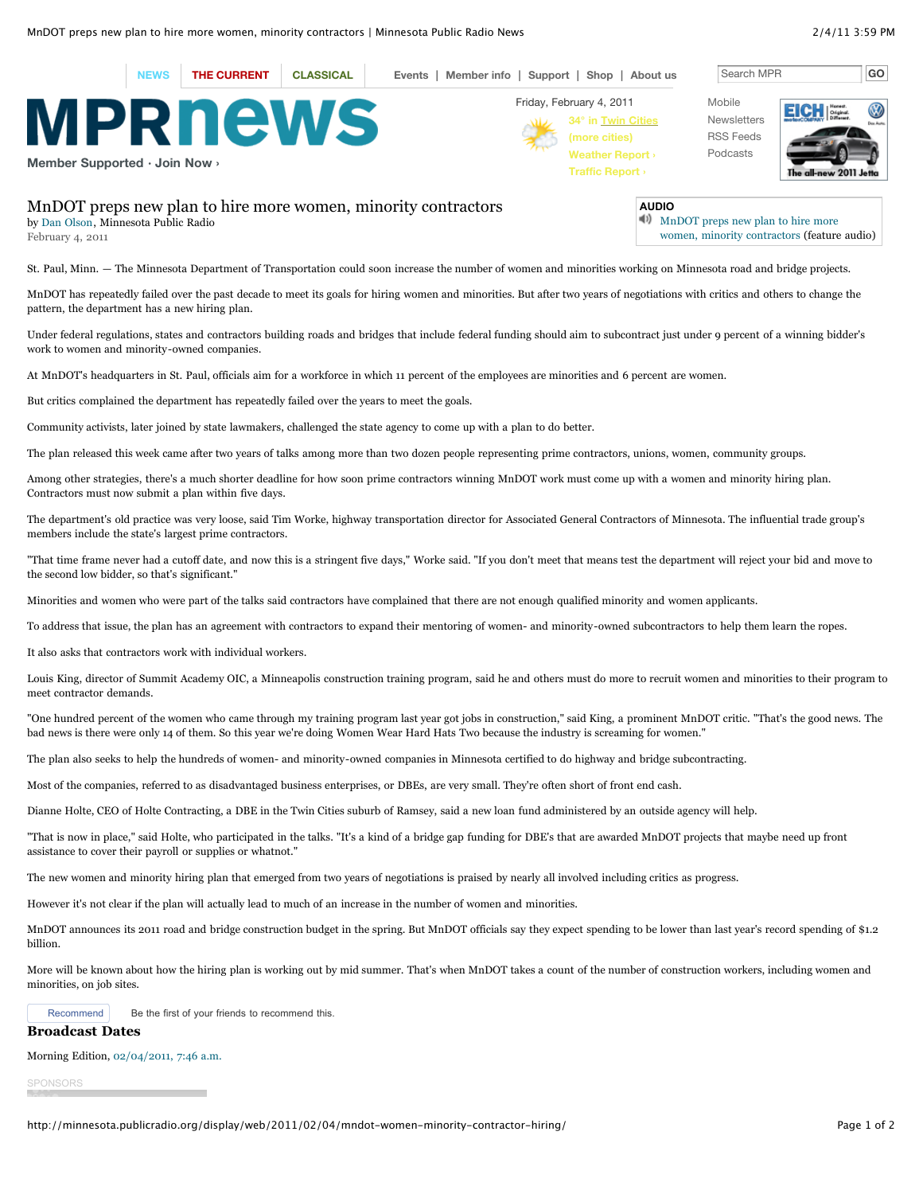

St. Paul, Minn. — The Minnesota Department of Transportation could soon increase the number of women and minorities working on Minnesota road and bridge projects.

MnDOT has repeatedly failed over the past decade to meet its goals for hiring women and minorities. But after two years of negotiations with critics and others to change the pattern, the department has a new hiring plan.

Under federal regulations, states and contractors building roads and bridges that include federal funding should aim to subcontract just under 9 percent of a winning bidder's work to women and minority-owned companies.

At MnDOT's headquarters in St. Paul, officials aim for a workforce in which 11 percent of the employees are minorities and 6 percent are women.

But critics complained the department has repeatedly failed over the years to meet the goals.

Community activists, later joined by state lawmakers, challenged the state agency to come up with a plan to do better.

The plan released this week came after two years of talks among more than two dozen people representing prime contractors, unions, women, community groups.

Among other strategies, there's a much shorter deadline for how soon prime contractors winning MnDOT work must come up with a women and minority hiring plan. Contractors must now submit a plan within five days.

The department's old practice was very loose, said Tim Worke, highway transportation director for Associated General Contractors of Minnesota. The influential trade group's members include the state's largest prime contractors.

"That time frame never had a cutoff date, and now this is a stringent five days," Worke said. "If you don't meet that means test the department will reject your bid and move to the second low bidder, so that's significant."

Minorities and women who were part of the talks said contractors have complained that there are not enough qualified minority and women applicants.

To address that issue, the plan has an agreement with contractors to expand their mentoring of women- and minority-owned subcontractors to help them learn the ropes.

It also asks that contractors work with individual workers.

Louis King, director of Summit Academy OIC, a Minneapolis construction training program, said he and others must do more to recruit women and minorities to their program to meet contractor demands.

"One hundred percent of the women who came through my training program last year got jobs in construction," said King, a prominent MnDOT critic. "That's the good news. The bad news is there were only 14 of them. So this year we're doing Women Wear Hard Hats Two because the industry is screaming for women."

The plan also seeks to help the hundreds of women- and minority-owned companies in Minnesota certified to do highway and bridge subcontracting.

Most of the companies, referred to as disadvantaged business enterprises, or DBEs, are very small. They're often short of front end cash.

Dianne Holte, CEO of Holte Contracting, a DBE in the Twin Cities suburb of Ramsey, said a new loan fund administered by an outside agency will help.

"That is now in place," said Holte, who participated in the talks. "It's a kind of a bridge gap funding for DBE's that are awarded MnDOT projects that maybe need up front assistance to cover their payroll or supplies or whatnot."

The new women and minority hiring plan that emerged from two years of negotiations is praised by nearly all involved including critics as progress.

However it's not clear if the plan will actually lead to much of an increase in the number of women and minorities.

MnDOT announces its 2011 road and bridge construction budget in the spring. But MnDOT officials say they expect spending to be lower than last year's record spending of \$1.2 billion.

More will be known about how the hiring plan is working out by mid summer. That's when MnDOT takes a count of the number of construction workers, including women and minorities, on job sites.



Recommend Be the first of your friends to recommend this.

**Broadcast Dates**

Morning Edition, [02/04/2011, 7:46 a.m.](http://minnesota.publicradio.org/radio/programs/morning_edition/?date=02-04-2011)

SPONSORS

http://minnesota.publicradio.org/display/web/2011/02/04/mndot-women-minority-contractor-hiring/ Page 1 of 2